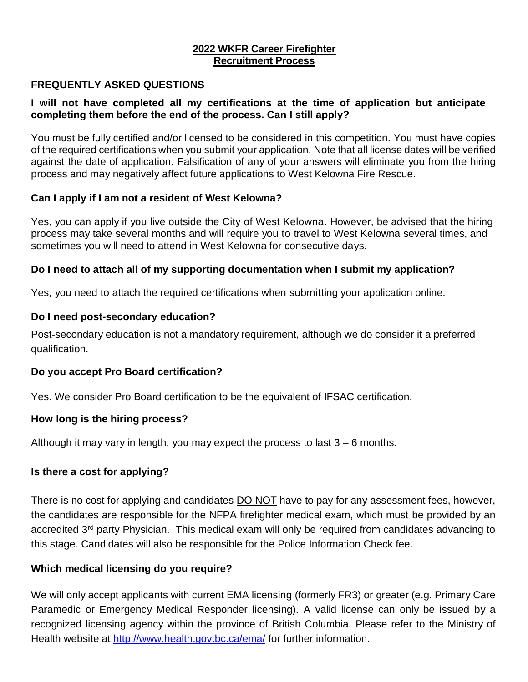# **2022 WKFR Career Firefighter Recruitment Process**

### **FREQUENTLY ASKED QUESTIONS**

### **I will not have completed all my certifications at the time of application but anticipate completing them before the end of the process. Can I still apply?**

You must be fully certified and/or licensed to be considered in this competition. You must have copies of the required certifications when you submit your application. Note that all license dates will be verified against the date of application. Falsification of any of your answers will eliminate you from the hiring process and may negatively affect future applications to West Kelowna Fire Rescue.

## **Can I apply if I am not a resident of West Kelowna?**

Yes, you can apply if you live outside the City of West Kelowna. However, be advised that the hiring process may take several months and will require you to travel to West Kelowna several times, and sometimes you will need to attend in West Kelowna for consecutive days.

## **Do I need to attach all of my supporting documentation when I submit my application?**

Yes, you need to attach the required certifications when submitting your application online.

## **Do I need post-secondary education?**

Post-secondary education is not a mandatory requirement, although we do consider it a preferred qualification.

#### **Do you accept Pro Board certification?**

Yes. We consider Pro Board certification to be the equivalent of IFSAC certification.

#### **How long is the hiring process?**

Although it may vary in length, you may expect the process to last  $3 - 6$  months.

# **Is there a cost for applying?**

There is no cost for applying and candidates **DO NOT** have to pay for any assessment fees, however, the candidates are responsible for the NFPA firefighter medical exam, which must be provided by an accredited 3<sup>rd</sup> party Physician. This medical exam will only be required from candidates advancing to this stage. Candidates will also be responsible for the Police Information Check fee.

# **Which medical licensing do you require?**

We will only accept applicants with current EMA licensing (formerly FR3) or greater (e.g. Primary Care Paramedic or Emergency Medical Responder licensing). A valid license can only be issued by a recognized licensing agency within the province of British Columbia. Please refer to the Ministry of Health website at<http://www.health.gov.bc.ca/ema/> for further information.